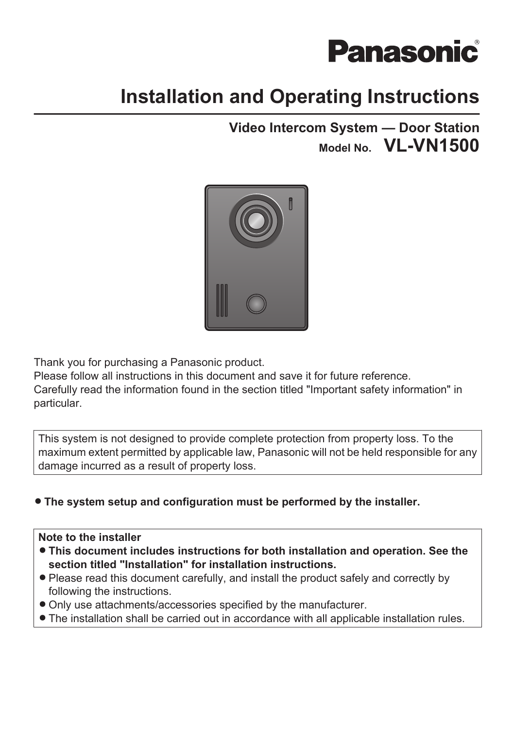# **Panasonic**

# **Installation and Operating Instructions**

### **Video Intercom System — Door Station Model No. VL-VN1500**



Thank you for purchasing a Panasonic product.

Please follow all instructions in this document and save it for future reference. Carefully read the information found in the section titled ["Important safety information](#page-4-0)" in particular.

This system is not designed to provide complete protection from property loss. To the maximum extent permitted by applicable law, Panasonic will not be held responsible for any damage incurred as a result of property loss.

### **• The system setup and configuration must be performed by the installer.**

### **Note to the installer**

- **This document includes instructions for both installation and operation. See the section titled ["Installation"](#page-9-0) for installation instructions.**
- Please read this document carefully, and install the product safely and correctly by following the instructions.
- Only use attachments/accessories specified by the manufacturer.
- The installation shall be carried out in accordance with all applicable installation rules.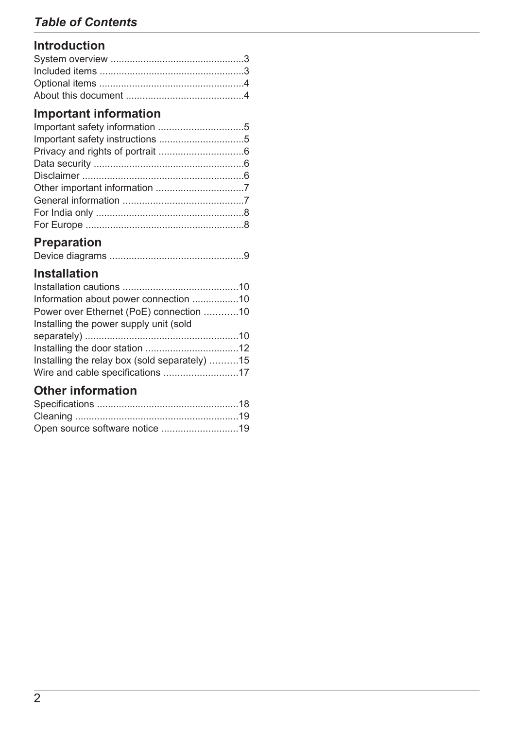### *Table of Contents*

### **[Introduction](#page-2-0)**

### **[Important information](#page-4-0)**

### **[Preparation](#page-8-0)**

|--|--|--|

### **[Installation](#page-9-0)**

| Information about power connection 10         |  |
|-----------------------------------------------|--|
| Power over Ethernet (PoE) connection 10       |  |
| Installing the power supply unit (sold        |  |
|                                               |  |
|                                               |  |
| Installing the relay box (sold separately) 15 |  |
| Wire and cable specifications 17              |  |

### **[Other information](#page-17-0)**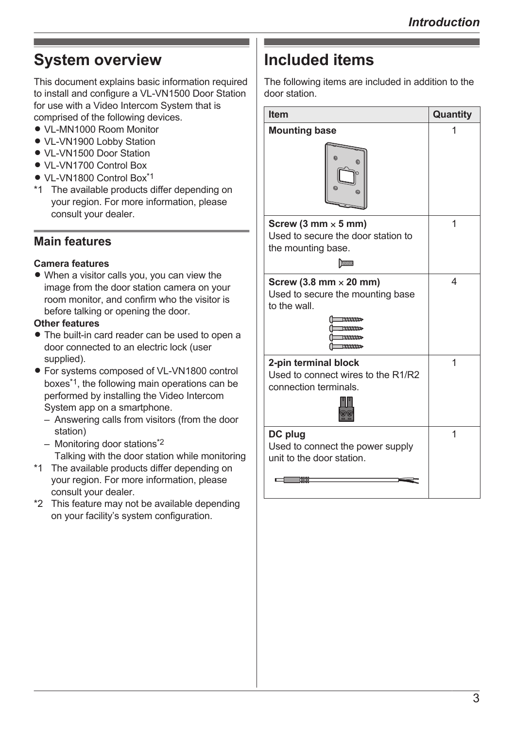### <span id="page-2-0"></span>**System overview**

This document explains basic information required to install and configure a VL-VN1500 Door Station for use with a Video Intercom System that is comprised of the following devices.

- VL-MN1000 Room Monitor
- VL-VN1900 Lobby Station
- VL-VN1500 Door Station
- VI -VN1700 Control Box
- VL-VN1800 Control Box<sup>[\\*1](#page-2-2)</sup>
- <span id="page-2-2"></span>\*1 The available products differ depending on your region. For more information, please consult your dealer.

### **Main features**

#### **Camera features**

• When a visitor calls you, you can view the image from the door station camera on your room monitor, and confirm who the visitor is before talking or opening the door.

#### **Other features**

- The built-in card reader can be used to open a door connected to an electric lock (user supplied).
- **•** For systems composed of VL-VN1800 control boxes[\\*1](#page-2-3), the following main operations can be performed by installing the Video Intercom System app on a smartphone.
	- Answering calls from visitors (from the door station)
	- Monitoring door stations[\\*2](#page-2-4) Talking with the door station while monitoring
- <span id="page-2-3"></span>\*1 The available products differ depending on your region. For more information, please consult your dealer.
- <span id="page-2-4"></span>\*2 This feature may not be available depending on your facility's system configuration.

# <span id="page-2-1"></span>**Included items**

The following items are included in addition to the door station.

| <b>Item</b>                                                                                            | Quantity |
|--------------------------------------------------------------------------------------------------------|----------|
| <b>Mounting base</b>                                                                                   | 1        |
| ⋒<br>O)                                                                                                |          |
| Screw (3 mm $\times$ 5 mm)<br>Used to secure the door station to<br>the mounting base.<br><b>TWWWW</b> | 1        |
| Screw (3.8 mm $\times$ 20 mm)<br>Used to secure the mounting base<br>to the wall                       | 4        |
| 2-pin terminal block<br>Used to connect wires to the R1/R2<br>connection terminals.                    | 1        |
| DC plug<br>Used to connect the power supply<br>unit to the door station<br><b>TIMER</b>                | 1        |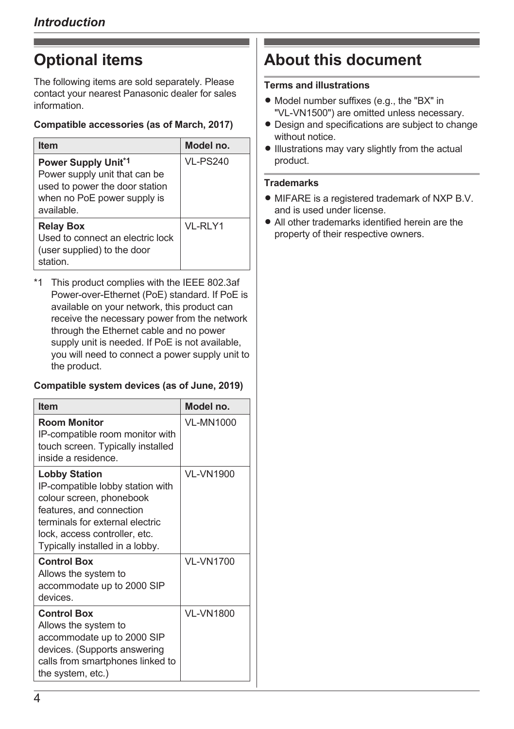# <span id="page-3-0"></span>**Optional items**

The following items are sold separately. Please contact your nearest Panasonic dealer for sales information.

### **Compatible accessories (as of March, 2017)**

| <b>Item</b>                                                                                                                               | Model no.       |
|-------------------------------------------------------------------------------------------------------------------------------------------|-----------------|
| <b>Power Supply Unit*1</b><br>Power supply unit that can be<br>used to power the door station<br>when no PoE power supply is<br>available | <b>VL-PS240</b> |
| <b>Relay Box</b><br>Used to connect an electric lock<br>(user supplied) to the door<br>station                                            | VI-RIY1         |

<span id="page-3-2"></span>\*1 This product complies with the IEEE 802.3af Power-over-Ethernet (PoE) standard. If PoE is available on your network, this product can receive the necessary power from the network through the Ethernet cable and no power supply unit is needed. If PoE is not available, you will need to connect a power supply unit to the product.

#### **Compatible system devices (as of June, 2019)**

| <b>Item</b>                                                                                                                                                                                                             | Model no.        |
|-------------------------------------------------------------------------------------------------------------------------------------------------------------------------------------------------------------------------|------------------|
| <b>Room Monitor</b><br>IP-compatible room monitor with<br>touch screen. Typically installed<br>inside a residence.                                                                                                      | VI-MN1000        |
| <b>Lobby Station</b><br>IP-compatible lobby station with<br>colour screen, phonebook<br>features, and connection<br>terminals for external electric<br>lock, access controller, etc.<br>Typically installed in a lobby. | <b>VL-VN1900</b> |
| <b>Control Box</b><br>Allows the system to<br>accommodate up to 2000 SIP<br>devices                                                                                                                                     | <b>VL-VN1700</b> |
| <b>Control Box</b><br>Allows the system to<br>accommodate up to 2000 SIP<br>devices. (Supports answering<br>calls from smartphones linked to<br>the system, etc.)                                                       | <b>VL-VN1800</b> |

# <span id="page-3-1"></span>**About this document**

### **Terms and illustrations**

- Model number suffixes (e.g., the "BX" in "VL-VN1500") are omitted unless necessary.
- Design and specifications are subject to change without notice
- **Illustrations may vary slightly from the actual** product.

### **Trademarks**

- MIFARE is a registered trademark of NXP B.V. and is used under license.
- All other trademarks identified herein are the property of their respective owners.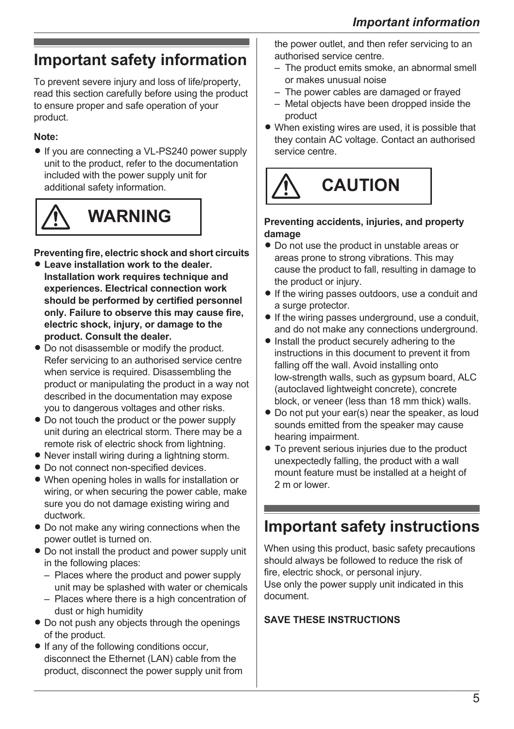# <span id="page-4-0"></span>**Important safety information**

To prevent severe injury and loss of life/property, read this section carefully before using the product to ensure proper and safe operation of your product.

### **Note:**

• If you are connecting a VL-PS240 power supply unit to the product, refer to the documentation included with the power supply unit for additional safety information.



# **WARNING**

**Preventing fire, electric shock and short circuits**

- **Leave installation work to the dealer. Installation work requires technique and experiences. Electrical connection work should be performed by certified personnel only. Failure to observe this may cause fire, electric shock, injury, or damage to the product. Consult the dealer.**
- $\bullet$  Do not disassemble or modify the product. Refer servicing to an authorised service centre when service is required. Disassembling the product or manipulating the product in a way not described in the documentation may expose you to dangerous voltages and other risks.
- Do not touch the product or the power supply unit during an electrical storm. There may be a remote risk of electric shock from lightning.
- $\bullet$  Never install wiring during a lightning storm.
- $\bullet$  Do not connect non-specified devices.
- When opening holes in walls for installation or wiring, or when securing the power cable, make sure you do not damage existing wiring and ductwork.
- Do not make any wiring connections when the power outlet is turned on.
- Do not install the product and power supply unit in the following places:
	- Places where the product and power supply unit may be splashed with water or chemicals
	- Places where there is a high concentration of dust or high humidity
- Do not push any objects through the openings of the product.
- $\bullet$  If any of the following conditions occur, disconnect the Ethernet (LAN) cable from the product, disconnect the power supply unit from

the power outlet, and then refer servicing to an authorised service centre.

- The product emits smoke, an abnormal smell or makes unusual noise
- The power cables are damaged or frayed
- Metal objects have been dropped inside the product
- $\bullet$  When existing wires are used, it is possible that they contain AC voltage. Contact an authorised service centre.



#### **Preventing accidents, injuries, and property damage**

- Do not use the product in unstable areas or areas prone to strong vibrations. This may cause the product to fall, resulting in damage to the product or injury.
- If the wiring passes outdoors, use a conduit and a surge protector.
- $\bullet$  If the wiring passes underground, use a conduit, and do not make any connections underground.
- $\bullet$  Install the product securely adhering to the instructions in this document to prevent it from falling off the wall. Avoid installing onto low-strength walls, such as gypsum board, ALC (autoclaved lightweight concrete), concrete block, or veneer (less than 18 mm thick) walls.
- $\bullet$  Do not put your ear(s) near the speaker, as loud sounds emitted from the speaker may cause hearing impairment.
- To prevent serious injuries due to the product unexpectedly falling, the product with a wall mount feature must be installed at a height of 2 m or lower.

### <span id="page-4-1"></span>**Important safety instructions**

When using this product, basic safety precautions should always be followed to reduce the risk of fire, electric shock, or personal injury. Use only the power supply unit indicated in this document.

### **SAVE THESE INSTRUCTIONS**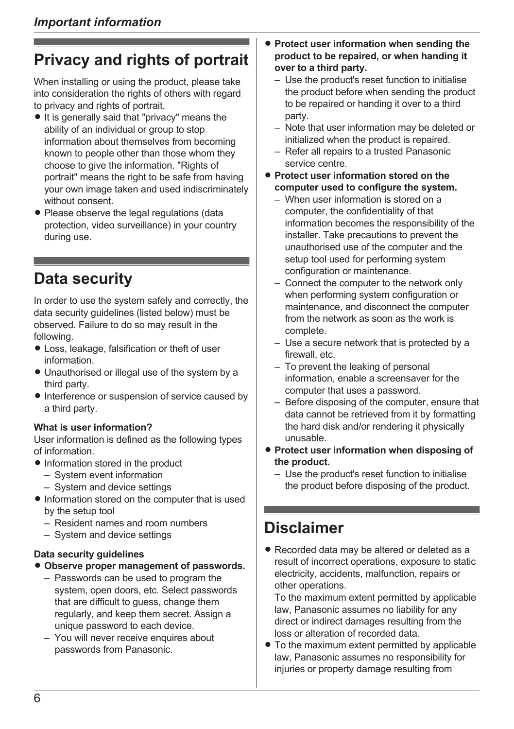# <span id="page-5-0"></span>**Privacy and rights of portrait**

When installing or using the product, please take into consideration the rights of others with regard to privacy and rights of portrait.

- $\bullet$  It is generally said that "privacy" means the ability of an individual or group to stop information about themselves from becoming known to people other than those whom they choose to give the information. "Rights of portrait" means the right to be safe from having your own image taken and used indiscriminately without consent.
- Please observe the legal regulations (data protection, video surveillance) in your country during use.

### <span id="page-5-1"></span>**Data security**

In order to use the system safely and correctly, the data security guidelines (listed below) must be observed. Failure to do so may result in the following.

- Loss, leakage, falsification or theft of user information.
- Unauthorised or illegal use of the system by a third party.
- $\bullet$  Interference or suspension of service caused by a third party.

#### **What is user information?**

User information is defined as the following types of information.

- $\bullet$  Information stored in the product
	- System event information
	- System and device settings
- Information stored on the computer that is used by the setup tool
	- Resident names and room numbers
	- System and device settings

#### **Data security guidelines**

- $\bullet$  **Observe proper management of passwords.** 
	- Passwords can be used to program the system, open doors, etc. Select passwords that are difficult to guess, change them regularly, and keep them secret. Assign a unique password to each device.
	- You will never receive enquires about passwords from Panasonic.
- **Protect user information when sending the product to be repaired, or when handing it over to a third party.**
	- Use the product's reset function to initialise the product before when sending the product to be repaired or handing it over to a third party.
	- Note that user information may be deleted or initialized when the product is repaired.
	- Refer all repairs to a trusted Panasonic service centre.
- **Protect user information stored on the computer used to configure the system.**
	- When user information is stored on a computer, the confidentiality of that information becomes the responsibility of the installer. Take precautions to prevent the unauthorised use of the computer and the setup tool used for performing system configuration or maintenance.
	- Connect the computer to the network only when performing system configuration or maintenance, and disconnect the computer from the network as soon as the work is complete.
	- Use a secure network that is protected by a firewall, etc.
	- To prevent the leaking of personal information, enable a screensaver for the computer that uses a password.
	- Before disposing of the computer, ensure that data cannot be retrieved from it by formatting the hard disk and/or rendering it physically unusable.
- **Protect user information when disposing of the product.**
	- Use the product's reset function to initialise the product before disposing of the product.

### <span id="page-5-2"></span>**Disclaimer**

• Recorded data may be altered or deleted as a result of incorrect operations, exposure to static electricity, accidents, malfunction, repairs or other operations.

To the maximum extent permitted by applicable law, Panasonic assumes no liability for any direct or indirect damages resulting from the loss or alteration of recorded data.

• To the maximum extent permitted by applicable law, Panasonic assumes no responsibility for injuries or property damage resulting from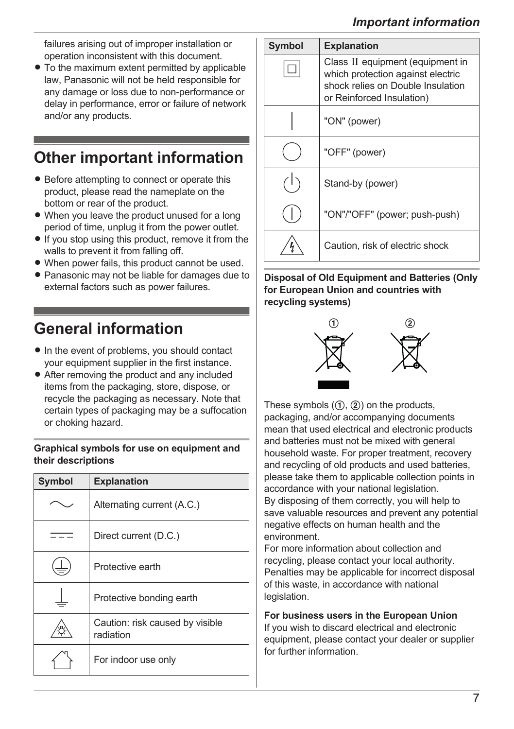failures arising out of improper installation or operation inconsistent with this document.

• To the maximum extent permitted by applicable law, Panasonic will not be held responsible for any damage or loss due to non-performance or delay in performance, error or failure of network and/or any products.

# <span id="page-6-0"></span>**Other important information**

- Before attempting to connect or operate this product, please read the nameplate on the bottom or rear of the product.
- When you leave the product unused for a long period of time, unplug it from the power outlet.
- $\bullet$  If you stop using this product, remove it from the walls to prevent it from falling off.
- When power fails, this product cannot be used.
- Panasonic may not be liable for damages due to external factors such as power failures.

# <span id="page-6-1"></span>**General information**

- $\bullet$  In the event of problems, you should contact your equipment supplier in the first instance.
- After removing the product and any included items from the packaging, store, dispose, or recycle the packaging as necessary. Note that certain types of packaging may be a suffocation or choking hazard.

**Graphical symbols for use on equipment and their descriptions**

| <b>Symbol</b> | <b>Explanation</b>                           |
|---------------|----------------------------------------------|
|               | Alternating current (A.C.)                   |
|               | Direct current (D.C.)                        |
|               | Protective earth                             |
|               | Protective bonding earth                     |
|               | Caution: risk caused by visible<br>radiation |
|               | For indoor use only                          |



**Disposal of Old Equipment and Batteries (Only for European Union and countries with recycling systems)**



These symbols  $(0, 0)$  on the products, packaging, and/or accompanying documents mean that used electrical and electronic products and batteries must not be mixed with general household waste. For proper treatment, recovery and recycling of old products and used batteries, please take them to applicable collection points in accordance with your national legislation. By disposing of them correctly, you will help to save valuable resources and prevent any potential negative effects on human health and the environment.

For more information about collection and recycling, please contact your local authority. Penalties may be applicable for incorrect disposal of this waste, in accordance with national legislation.

**For business users in the European Union** If you wish to discard electrical and electronic equipment, please contact your dealer or supplier for further information.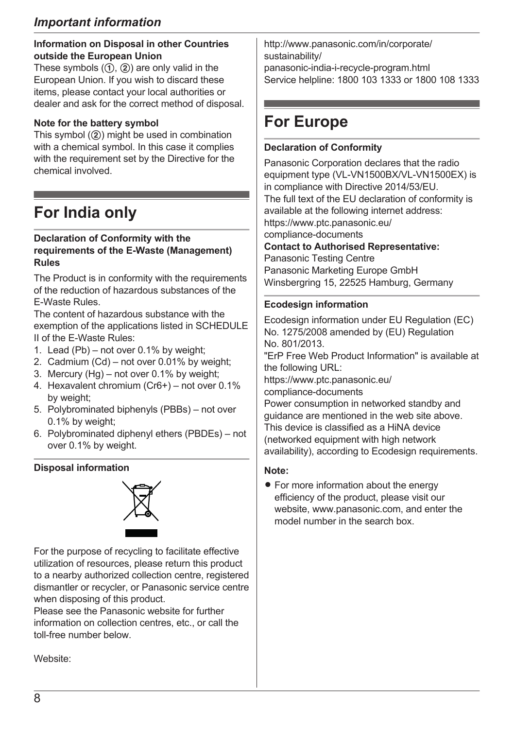### *Important information*

#### **Information on Disposal in other Countries outside the European Union**

These symbols  $(1)$ ,  $(2)$ ) are only valid in the European Union. If you wish to discard these items, please contact your local authorities or dealer and ask for the correct method of disposal.

#### **Note for the battery symbol**

This symbol  $(2)$  might be used in combination with a chemical symbol. In this case it complies with the requirement set by the Directive for the chemical involved.

# <span id="page-7-0"></span>**For India only**

#### **Declaration of Conformity with the requirements of the E-Waste (Management) Rules**

The Product is in conformity with the requirements of the reduction of hazardous substances of the E-Waste Rules.

The content of hazardous substance with the exemption of the applications listed in SCHEDULE II of the E-Waste Rules:

- 1. Lead (Pb) not over 0.1% by weight;
- 2. Cadmium (Cd) not over 0.01% by weight;
- 3. Mercury (Hg) not over 0.1% by weight;
- 4. Hexavalent chromium (Cr6+) not over 0.1% by weight;
- 5. Polybrominated biphenyls (PBBs) not over 0.1% by weight;
- 6. Polybrominated diphenyl ethers (PBDEs) not over 0.1% by weight.

#### **Disposal information**



For the purpose of recycling to facilitate effective utilization of resources, please return this product to a nearby authorized collection centre, registered dismantler or recycler, or Panasonic service centre when disposing of this product.

Please see the Panasonic website for further information on collection centres, etc., or call the toll-free number below.

Website:

[http://www.panasonic.com/in/corporate/](http://www.panasonic.com/in/corporate/sustainability/panasonic-india-i-recycle-program.html) sustainability/ panasonic-india-i-recycle-program.html Service helpline: 1800 103 1333 or 1800 108 1333

# <span id="page-7-1"></span>**For Europe**

#### **Declaration of Conformity**

Panasonic Corporation declares that the radio equipment type (VL-VN1500BX/VL-VN1500EX) is in compliance with Directive 2014/53/EU. The full text of the EU declaration of conformity is available at the following internet address: https://www.ptc.panasonic.eu/ compliance-documents

**Contact to Authorised Representative:**

Panasonic Testing Centre Panasonic Marketing Europe GmbH Winsbergring 15, 22525 Hamburg, Germany

#### **Ecodesign information**

Ecodesign information under EU Regulation (EC) No. 1275/2008 amended by (EU) Regulation No. 801/2013. "ErP Free Web Product Information" is available at the following URL: https://www.ptc.panasonic.eu/ compliance-documents Power consumption in networked standby and guidance are mentioned in the web site above. This device is classified as a HiNA device (networked equipment with high network availability), according to Ecodesign requirements.

#### **Note:**

• For more information about the energy efficiency of the product, please visit our website, www.panasonic.com, and enter the model number in the search box.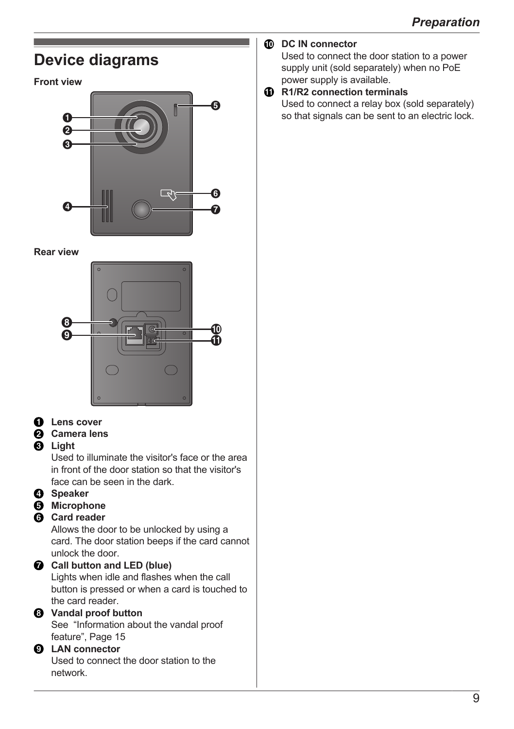### <span id="page-8-0"></span>**DC IN connector** Used to connect the door station to a power **Device diagrams** supply unit (sold separately) when no PoE power supply is available. **Front view R1/R2 connection terminals** Used to connect a relay box (sold separately) E so that signals can be sent to an electric lock. A **D**  $\bm{\Theta}$ طكة G  $\overline{a}$  $\bm{o}$ **Rear view**  $\boldsymbol{\Theta}$ 10  $\Omega$  $\circ$ Ă **O** Lens cover **Camera lens Light** Used to illuminate the visitor's face or the area in front of the door station so that the visitor's face can be seen in the dark *A* Speaker  $\Theta$  Microphone **Card reader** Allows the door to be unlocked by using a card. The door station beeps if the card cannot unlock the door. **Call button and LED (blue)** Lights when idle and flashes when the call button is pressed or when a card is touched to the card reader. **Vandal proof button** See ["Information about the vandal proof](#page-14-1) [feature", Page 15](#page-14-1) **LAN connector** Used to connect the door station to the network.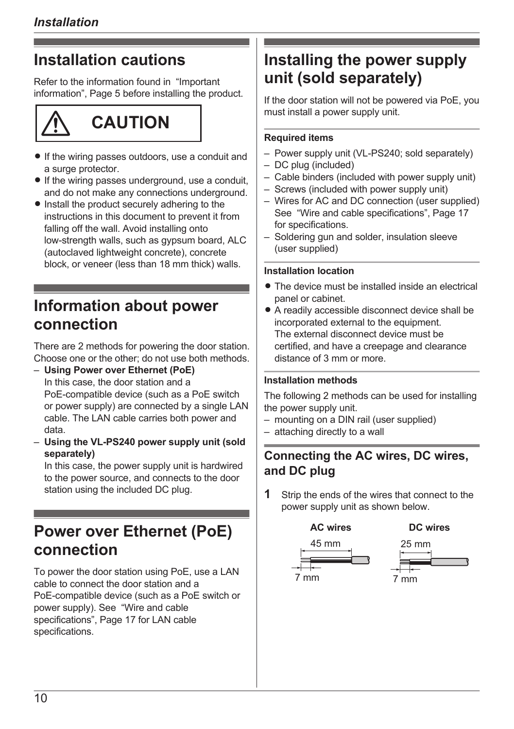# <span id="page-9-0"></span>**Installation cautions**

Refer to the information found in ["Important](#page-4-0) [information", Page 5](#page-4-0) before installing the product.

# **CAUTION**

- If the wiring passes outdoors, use a conduit and a surge protector.
- $\bullet$  If the wiring passes underground, use a conduit, and do not make any connections underground.
- Install the product securely adhering to the instructions in this document to prevent it from falling off the wall. Avoid installing onto low-strength walls, such as gypsum board, ALC (autoclaved lightweight concrete), concrete block, or veneer (less than 18 mm thick) walls.

### <span id="page-9-1"></span>**Information about power connection**

There are 2 methods for powering the door station. Choose one or the other; do not use both methods.

- **Using Power over Ethernet (PoE)** In this case, the door station and a PoE-compatible device (such as a PoE switch or power supply) are connected by a single LAN cable. The LAN cable carries both power and data.
- **Using the VL-PS240 power supply unit (sold separately)**

In this case, the power supply unit is hardwired to the power source, and connects to the door station using the included DC plug.

# <span id="page-9-2"></span>**Power over Ethernet (PoE) connection**

To power the door station using PoE, use a LAN cable to connect the door station and a PoE-compatible device (such as a PoE switch or power supply). See ["Wire and cable](#page-16-0) [specifications", Page 17](#page-16-0) for LAN cable specifications.

# <span id="page-9-3"></span>**Installing the power supply unit (sold separately)**

If the door station will not be powered via PoE, you must install a power supply unit.

#### **Required items**

- Power supply unit (VL-PS240; sold separately)
- DC plug (included)
- Cable binders (included with power supply unit)
- Screws (included with power supply unit)
- Wires for AC and DC connection (user supplied) See "Wire and cable specifications". Page 17 for specifications.
- Soldering gun and solder, insulation sleeve (user supplied)

### **Installation location**

- The device must be installed inside an electrical panel or cabinet.
- A readily accessible disconnect device shall be incorporated external to the equipment. The external disconnect device must be certified, and have a creepage and clearance distance of 3 mm or more.

#### **Installation methods**

The following 2 methods can be used for installing the power supply unit.

- mounting on a DIN rail (user supplied)
- attaching directly to a wall

### **Connecting the AC wires, DC wires, and DC plug**

**1** Strip the ends of the wires that connect to the power supply unit as shown below.



7 mm



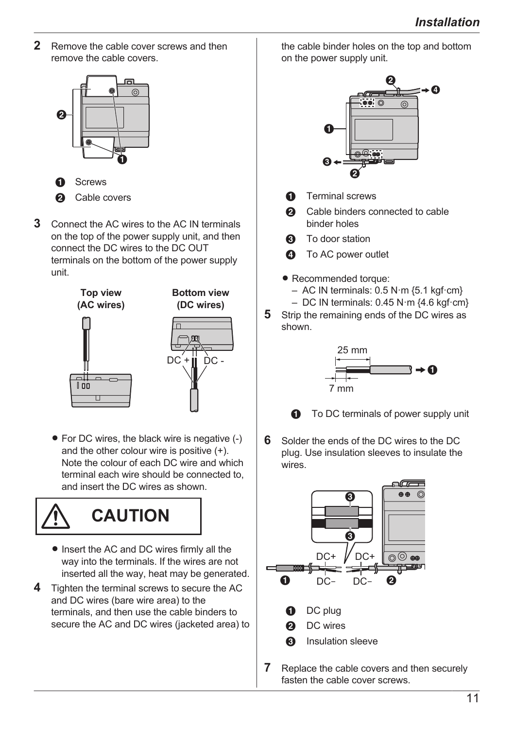**2** Remove the cable cover screws and then remove the cable covers.



- **Screws a** Cable covers
- **3** Connect the AC wires to the AC IN terminals on the top of the power supply unit, and then connect the DC wires to the DC OUT terminals on the bottom of the power supply unit.







• For DC wires, the black wire is negative (-) and the other colour wire is positive (+). Note the colour of each DC wire and which terminal each wire should be connected to, and insert the DC wires as shown.



- Insert the AC and DC wires firmly all the way into the terminals. If the wires are not inserted all the way, heat may be generated.
- **4** Tighten the terminal screws to secure the AC and DC wires (bare wire area) to the terminals, and then use the cable binders to secure the AC and DC wires (jacketed area) to

the cable binder holes on the top and bottom on the power supply unit.



- **A** Terminal screws
- **a** Cable binders connected to cable binder holes
- **Q** To door station
- **Q** To AC power outlet
- Recommended torque:
	- $-$  AC IN terminals: 0.5 N·m {5.1 kgf·cm}
	- $-$  DC IN terminals: 0.45 N·m  $\{4.6 \text{ kgf} \cdot \text{cm}\}$
- **5** Strip the remaining ends of the DC wires as shown.



**A** To DC terminals of power supply unit

**6** Solder the ends of the DC wires to the DC plug. Use insulation sleeves to insulate the wires.



**7** Replace the cable covers and then securely fasten the cable cover screws.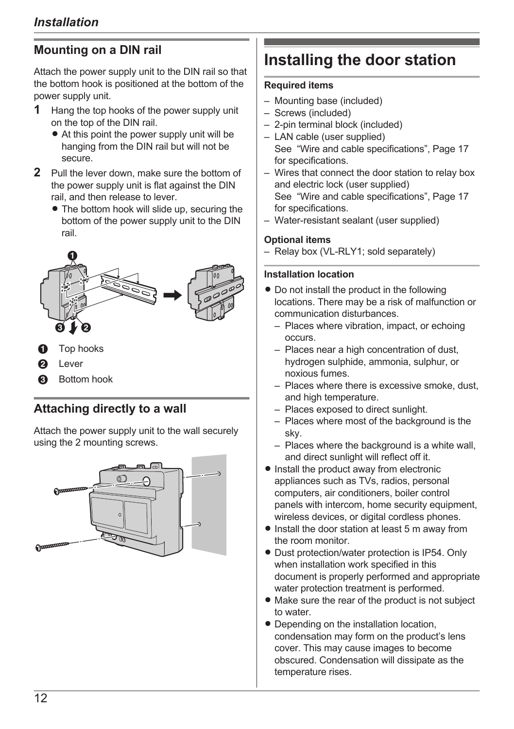### <span id="page-11-1"></span>**Mounting on a DIN rail**

Attach the power supply unit to the DIN rail so that the bottom hook is positioned at the bottom of the power supply unit.

- **1** Hang the top hooks of the power supply unit on the top of the DIN rail.
	- $\bullet$  At this point the power supply unit will be hanging from the DIN rail but will not be secure.
- **2** Pull the lever down, make sure the bottom of the power supply unit is flat against the DIN rail, and then release to lever.
	- The bottom hook will slide up, securing the bottom of the power supply unit to the DIN rail.



- **Top hooks**
- Lever
- **Bottom hook**

### <span id="page-11-2"></span>**Attaching directly to a wall**

Attach the power supply unit to the wall securely using the 2 mounting screws.



# <span id="page-11-0"></span>**Installing the door station**

#### **Required items**

- Mounting base (included)
- Screws (included)
- 2-pin terminal block (included)
- LAN cable (user supplied) See ["Wire and cable specifications", Page 17](#page-16-0) for specifications.
- Wires that connect the door station to relay box and electric lock (user supplied) See ["Wire and cable specifications", Page 17](#page-16-0) for specifications.
- Water-resistant sealant (user supplied)

#### **Optional items**

– Relay box (VL-RLY1; sold separately)

#### **Installation location**

- $\bullet$  Do not install the product in the following locations. There may be a risk of malfunction or communication disturbances.
	- Places where vibration, impact, or echoing occurs.
	- Places near a high concentration of dust, hydrogen sulphide, ammonia, sulphur, or noxious fumes.
	- Places where there is excessive smoke, dust, and high temperature.
	- Places exposed to direct sunlight.
	- Places where most of the background is the sky.
	- Places where the background is a white wall, and direct sunlight will reflect off it.
- Install the product away from electronic appliances such as TVs, radios, personal computers, air conditioners, boiler control panels with intercom, home security equipment, wireless devices, or digital cordless phones.
- $\bullet$  Install the door station at least 5 m away from the room monitor.
- Dust protection/water protection is IP54. Only when installation work specified in this document is properly performed and appropriate water protection treatment is performed.
- Make sure the rear of the product is not subject to water.
- Depending on the installation location, condensation may form on the product's lens cover. This may cause images to become obscured. Condensation will dissipate as the temperature rises.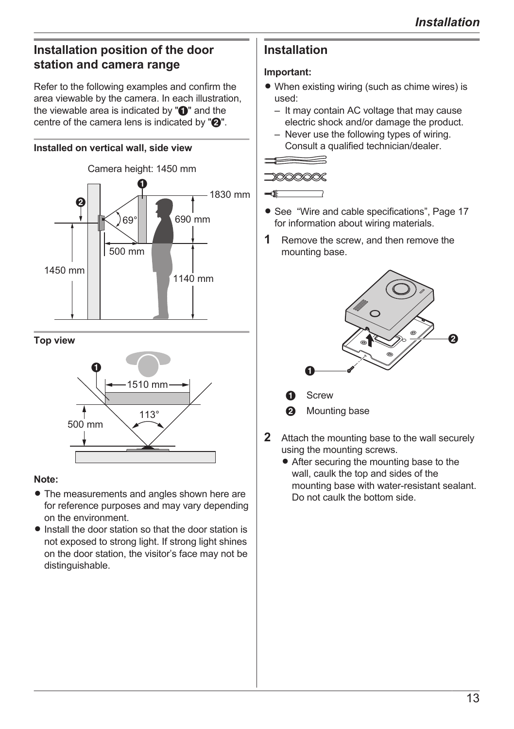### **Installation position of the door station and camera range**

Refer to the following examples and confirm the area viewable by the camera. In each illustration, the viewable area is indicated by " $\bigcirc$ " and the centre of the camera lens is indicated by  $\mathbf{Q}$ ".

### **Installed on vertical wall, side view**



#### **Top view**



#### **Note:**

- The measurements and angles shown here are for reference purposes and may vary depending on the environment.
- $\bullet$  Install the door station so that the door station is not exposed to strong light. If strong light shines on the door station, the visitor's face may not be distinguishable.

### **Installation**

### **Important:**

- $\bullet$  When existing wiring (such as chime wires) is used:
	- It may contain AC voltage that may cause electric shock and/or damage the product.
	- Never use the following types of wiring. Consult a qualified technician/dealer.



 $\overline{\bullet}$ 

- See ["Wire and cable specifications", Page 17](#page-16-0) for information about wiring materials.
- **1** Remove the screw, and then remove the mounting base.



- **Screw**
- Mounting base
- **2** Attach the mounting base to the wall securely using the mounting screws.
	- After securing the mounting base to the wall, caulk the top and sides of the mounting base with water-resistant sealant. Do not caulk the bottom side.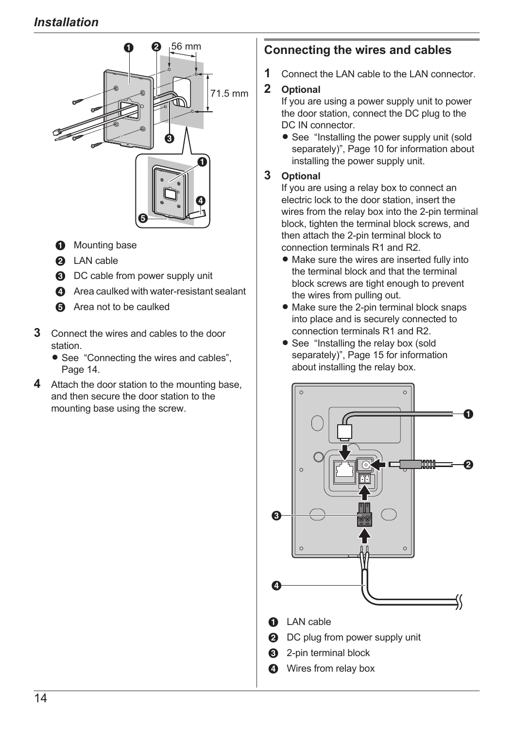

- **O** Mounting base
- **2** LAN cable
- **6** DC cable from power supply unit
- **<sup>O</sup>** Area caulked with water-resistant sealant
- **6** Area not to be caulked
- **3** Connect the wires and cables to the door station.
	- See ["Connecting the wires and cables",](#page-13-0) [Page 14.](#page-13-0)
- **4** Attach the door station to the mounting base and then secure the door station to the mounting base using the screw.

### <span id="page-13-0"></span>**Connecting the wires and cables**

**1** Connect the LAN cable to the LAN connector.

### **2 Optional**

If you are using a power supply unit to power the door station, connect the DC plug to the DC. IN connector

• See ["Installing the power supply unit \(sold](#page-9-3) [separately\)", Page 10](#page-9-3) for information about installing the power supply unit.

### **3 Optional**

If you are using a relay box to connect an electric lock to the door station, insert the wires from the relay box into the 2-pin terminal block, tighten the terminal block screws, and then attach the 2-pin terminal block to connection terminals R1 and R2.

- Make sure the wires are inserted fully into the terminal block and that the terminal block screws are tight enough to prevent the wires from pulling out.
- $\bullet$  Make sure the 2-pin terminal block snaps into place and is securely connected to connection terminals R1 and R2.
- See ["Installing the relay box \(sold](#page-14-0) [separately\)", Page 15](#page-14-0) for information about installing the relay box.

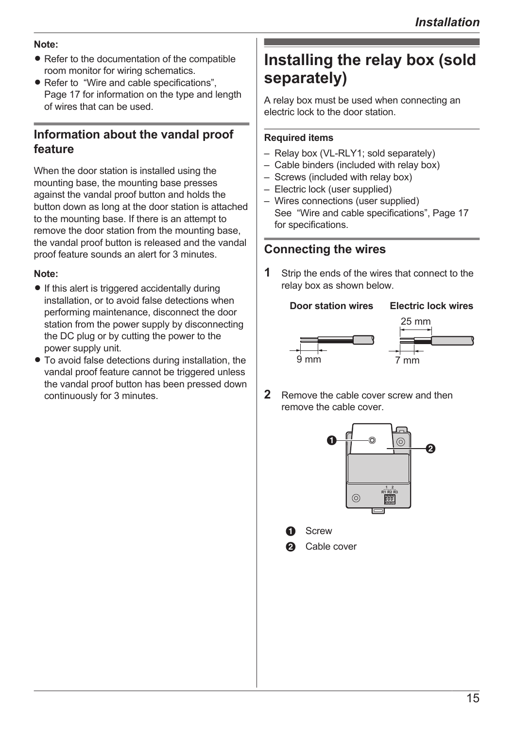#### **Note:**

- Refer to the documentation of the compatible room monitor for wiring schematics.
- Refer to "Wire and cable specifications". [Page 17](#page-16-0) for information on the type and length of wires that can be used.

### <span id="page-14-1"></span>**Information about the vandal proof feature**

When the door station is installed using the mounting base, the mounting base presses against the vandal proof button and holds the button down as long at the door station is attached to the mounting base. If there is an attempt to remove the door station from the mounting base, the vandal proof button is released and the vandal proof feature sounds an alert for 3 minutes.

#### **Note:**

- $\bullet$  If this alert is triggered accidentally during installation, or to avoid false detections when performing maintenance, disconnect the door station from the power supply by disconnecting the DC plug or by cutting the power to the power supply unit.
- $\bullet$  To avoid false detections during installation, the vandal proof feature cannot be triggered unless the vandal proof button has been pressed down continuously for 3 minutes.

# <span id="page-14-0"></span>**Installing the relay box (sold separately)**

A relay box must be used when connecting an electric lock to the door station.

### **Required items**

- Relay box (VL-RLY1; sold separately)
- Cable binders (included with relay box)
- Screws (included with relay box)
- Electric lock (user supplied)
- Wires connections (user supplied) See "Wire and cable specifications". Page 17 for specifications.

### **Connecting the wires**

**1** Strip the ends of the wires that connect to the relay box as shown below.

### **Door station wires Electric lock wires**



**2** Remove the cable cover screw and then remove the cable cover.





Cable cover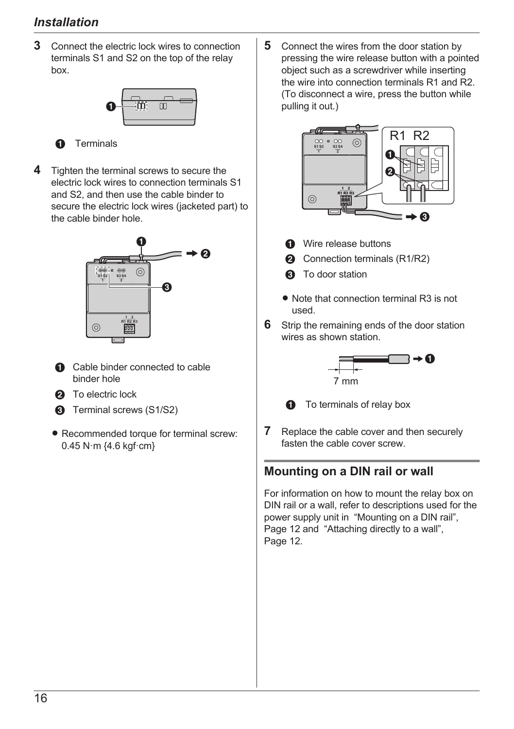### *Installation*

**3** Connect the electric lock wires to connection terminals S1 and S2 on the top of the relay box.



**A** Terminals

**4** Tighten the terminal screws to secure the electric lock wires to connection terminals S1 and S2, and then use the cable binder to secure the electric lock wires (jacketed part) to the cable binder hole.



- A Cable binder connected to cable binder hole
- **2** To electric lock
- **6** Terminal screws (S1/S2)
- Recommended torque for terminal screw: 0.45 N·m {4.6 kgf·cm}

**5** Connect the wires from the door station by pressing the wire release button with a pointed object such as a screwdriver while inserting the wire into connection terminals R1 and R2. (To disconnect a wire, press the button while pulling it out.)



- **A** Wire release buttons
- **2** Connection terminals (R1/R2)
- **6** To door station
- Note that connection terminal R3 is not used.
- **6** Strip the remaining ends of the door station wires as shown station.





**O** To terminals of relay box

**7** Replace the cable cover and then securely fasten the cable cover screw.

### **Mounting on a DIN rail or wall**

For information on how to mount the relay box on DIN rail or a wall, refer to descriptions used for the power supply unit in ["Mounting on a DIN rail",](#page-11-1) [Page 12](#page-11-1) and ["Attaching directly to a wall",](#page-11-2) [Page 12](#page-11-2).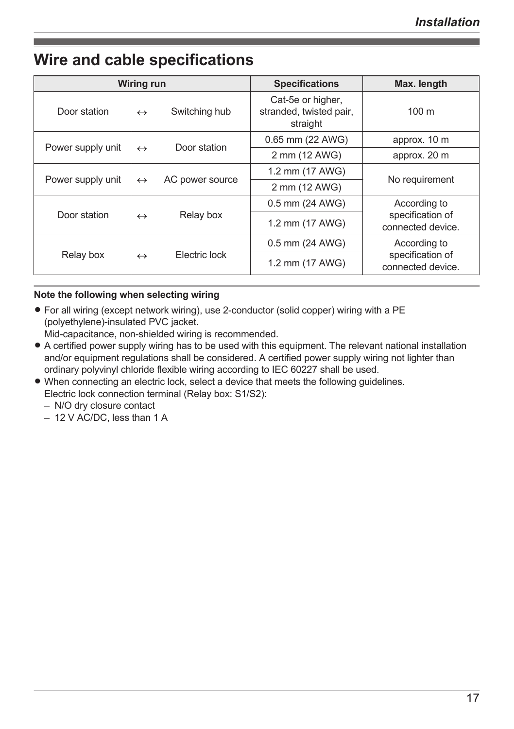### <span id="page-16-0"></span>**Wire and cable specifications**

| <b>Wiring run</b>                   |                                                        | <b>Specifications</b> | Max. length                                              |                                       |
|-------------------------------------|--------------------------------------------------------|-----------------------|----------------------------------------------------------|---------------------------------------|
| Door station                        | $\leftrightarrow$                                      | Switching hub         | Cat-5e or higher,<br>stranded, twisted pair,<br>straight | $100 \text{ m}$                       |
|                                     |                                                        |                       | 0.65 mm (22 AWG)                                         | approx. 10 m                          |
|                                     | Door station<br>Power supply unit<br>$\leftrightarrow$ |                       | 2 mm (12 AWG)                                            | approx. 20 m                          |
| Power supply unit $\leftrightarrow$ |                                                        | AC power source       | 1.2 mm (17 AWG)                                          | No requirement                        |
|                                     |                                                        |                       | 2 mm (12 AWG)                                            |                                       |
|                                     |                                                        |                       | 0.5 mm (24 AWG)                                          | According to                          |
| Door station<br>$\leftrightarrow$   |                                                        | Relay box             | 1.2 mm (17 AWG)                                          | specification of<br>connected device. |
|                                     |                                                        |                       | 0.5 mm (24 AWG)                                          | According to                          |
| Relay box                           | $\leftrightarrow$                                      | Flectric lock         | 1.2 mm (17 AWG)                                          | specification of<br>connected device. |

#### **Note the following when selecting wiring**

• For all wiring (except network wiring), use 2-conductor (solid copper) wiring with a PE (polyethylene)-insulated PVC jacket.

Mid-capacitance, non-shielded wiring is recommended.

- A certified power supply wiring has to be used with this equipment. The relevant national installation and/or equipment regulations shall be considered. A certified power supply wiring not lighter than ordinary polyvinyl chloride flexible wiring according to IEC 60227 shall be used.
- When connecting an electric lock, select a device that meets the following guidelines. Electric lock connection terminal (Relay box: S1/S2):
	- N/O dry closure contact
	- 12 V AC/DC, less than 1 A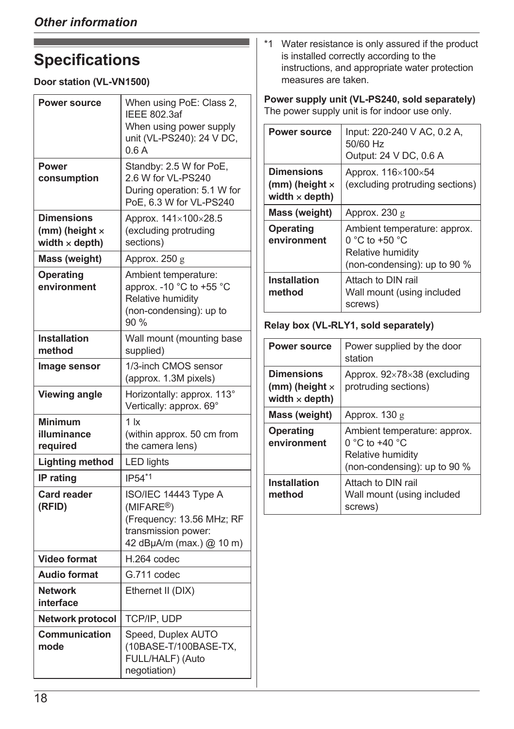# <span id="page-17-0"></span>**Specifications**

### **Door station (VL-VN1500)**

| <b>Power source</b><br>Power                                 | When using PoE: Class 2,<br><b>IEEE 802.3af</b><br>When using power supply<br>unit (VL-PS240): 24 V DC,<br>0.6A<br>Standby: 2.5 W for PoE, |  |
|--------------------------------------------------------------|--------------------------------------------------------------------------------------------------------------------------------------------|--|
| consumption                                                  | 2.6 W for VL-PS240<br>During operation: 5.1 W for<br>PoE, 6.3 W for VL-PS240                                                               |  |
| <b>Dimensions</b><br>(mm) (height x<br>width $\times$ depth) | Approx. 141×100×28.5<br>(excluding protruding<br>sections)                                                                                 |  |
| Mass (weight)                                                | Approx. 250 g                                                                                                                              |  |
| Operating<br>environment                                     | Ambient temperature:<br>approx. -10 °C to +55 °C<br>Relative humidity<br>(non-condensing): up to<br>90 %                                   |  |
| Installation<br>method                                       | Wall mount (mounting base<br>supplied)                                                                                                     |  |
| Image sensor                                                 | 1/3-inch CMOS sensor<br>(approx. 1.3M pixels)                                                                                              |  |
| Viewing angle                                                | Horizontally: approx. 113°<br>Vertically: approx. 69°                                                                                      |  |
| Minimum<br>illuminance<br>required                           | 1 <sub>k</sub><br>(within approx. 50 cm from<br>the camera lens)                                                                           |  |
| Lighting method                                              | <b>LED lights</b>                                                                                                                          |  |
| <b>IP</b> rating                                             | IP54*1                                                                                                                                     |  |
| <b>Card reader</b><br>(RFID)                                 | ISO/IEC 14443 Type A<br>(MIFARE <sup>®</sup> )<br>(Frequency: 13.56 MHz; RF<br>transmission power:<br>42 dBµA/m (max.) @ 10 m)             |  |
| <b>Video format</b>                                          | H.264 codec                                                                                                                                |  |
| <b>Audio format</b>                                          | G.711 codec                                                                                                                                |  |
| <b>Network</b><br>interface                                  | Ethernet II (DIX)                                                                                                                          |  |
| <b>Network protocol</b>                                      | TCP/IP, UDP                                                                                                                                |  |
| Communication<br>mode                                        | Speed, Duplex AUTO<br>(10BASE-T/100BASE-TX,<br>FULL/HALF) (Auto<br>negotiation)                                                            |  |

<span id="page-17-1"></span>\*1 Water resistance is only assured if the product is installed correctly according to the instructions, and appropriate water protection measures are taken.

**Power supply unit (VL-PS240, sold separately)** The power supply unit is for indoor use only.

| <b>Power source</b>                                                   | Input: 220-240 V AC, 0.2 A,<br>50/60 Hz<br>Output: 24 V DC, 0.6 A                                       |
|-----------------------------------------------------------------------|---------------------------------------------------------------------------------------------------------|
| <b>Dimensions</b><br>$(mm)$ (height $\times$<br>width $\times$ depth) | Approx. 116×100×54<br>(excluding protruding sections)                                                   |
| Mass (weight)                                                         | Approx. $230 g$                                                                                         |
| Operating<br>environment                                              | Ambient temperature: approx.<br>$0 °C$ to +50 $°C$<br>Relative humidity<br>(non-condensing): up to 90 % |
| Installation<br>method                                                | Attach to DIN rail<br>Wall mount (using included<br>screws)                                             |

### **Relay box (VL-RLY1, sold separately)**

| <b>Power source</b>                                                   | Power supplied by the door<br>station                                                               |
|-----------------------------------------------------------------------|-----------------------------------------------------------------------------------------------------|
| <b>Dimensions</b><br>$(mm)$ (height $\times$<br>width $\times$ depth) | Approx. $92\times78\times38$ (excluding<br>protruding sections)                                     |
| Mass (weight)                                                         | Approx. $130g$                                                                                      |
| Operating<br>environment                                              | Ambient temperature: approx.<br>0 °C to +40 °C<br>Relative humidity<br>(non-condensing): up to 90 % |
| <b>Installation</b><br>method                                         | Attach to DIN rail<br>Wall mount (using included<br>screws)                                         |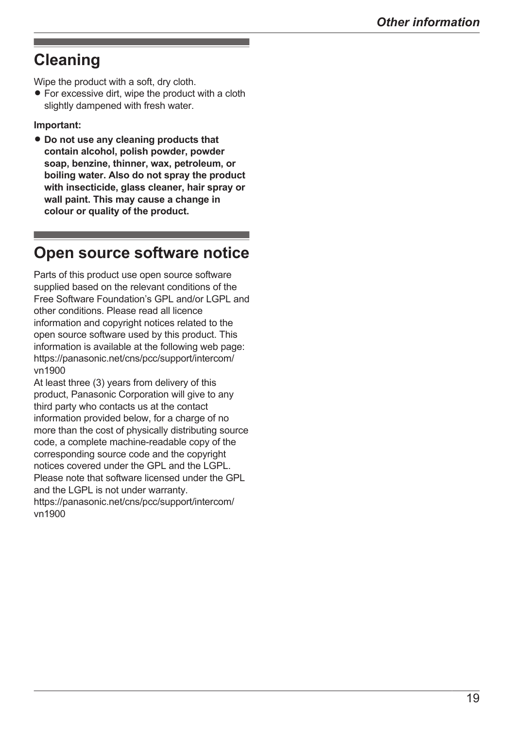## <span id="page-18-0"></span>**Cleaning**

Wipe the product with a soft, dry cloth.

 $\bullet$  For excessive dirt, wipe the product with a cloth slightly dampened with fresh water.

#### **Important:**

 $\bullet$  Do not use any cleaning products that **contain alcohol, polish powder, powder soap, benzine, thinner, wax, petroleum, or boiling water. Also do not spray the product with insecticide, glass cleaner, hair spray or wall paint. This may cause a change in colour or quality of the product.**

### <span id="page-18-1"></span>**Open source software notice**

Parts of this product use open source software supplied based on the relevant conditions of the Free Software Foundation's GPL and/or LGPL and other conditions. Please read all licence information and copyright notices related to the open source software used by this product. This information is available at the following web page: [https://panasonic.net/cns/pcc/support/intercom/](https://panasonic.net/cns/pcc/support/intercom/vn1900) vn1900

At least three (3) years from delivery of this product, Panasonic Corporation will give to any third party who contacts us at the contact information provided below, for a charge of no more than the cost of physically distributing source code, a complete machine-readable copy of the corresponding source code and the copyright notices covered under the GPL and the LGPL. Please note that software licensed under the GPL and the LGPL is not under warranty. [https://panasonic.net/cns/pcc/support/intercom/](https://panasonic.net/cns/pcc/support/intercom/vn1900) vn1900